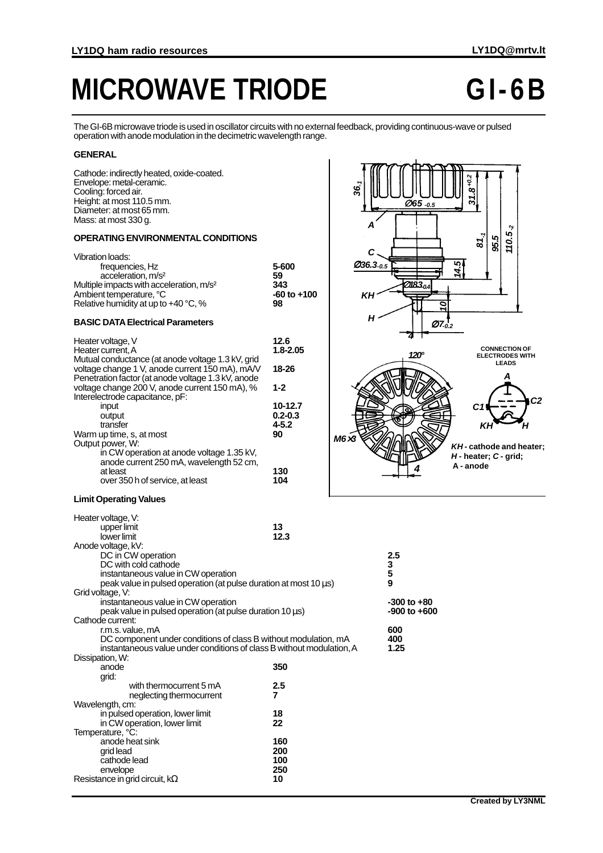# **MICROWAVE TRIODE GI-6B**

The GI-6B microwave triode is used in oscillator circuits with no external feedback, providing continuous-wave or pulsed operation with anode modulation in the decimetric wavelength range.

# **GENERAL**

Cathode: indirectly heated, oxide-coated. Envelope: metal-ceramic. Cooling: forced air. Height: at most 110.5 mm. Diameter: at most 65 mm. Mass: at most 330 g.

# **OPERATING ENVIRONMENTAL CONDITIONS**

| Vibration loads:                                     |                 |
|------------------------------------------------------|-----------------|
| frequencies, Hz                                      | 5-600           |
| acceleration. m/s <sup>2</sup>                       | 59              |
| Multiple impacts with acceleration, m/s <sup>2</sup> | 343             |
| Ambient temperature, °C                              | $-60$ to $+100$ |
| Relative humidity at up to +40 °C, %                 | 98              |

## **BASIC DATA Electrical Parameters**

| Heater voltage, V<br>Heater current. A                                                               | 12.6<br>$1.8 - 2.05$ |
|------------------------------------------------------------------------------------------------------|----------------------|
| Mutual conductance (at anode voltage 1.3 kV, grid                                                    |                      |
| voltage change 1 V, anode current 150 mA), mA/V                                                      | 18-26                |
| Penetration factor (at anode voltage 1.3 kV, anode<br>voltage change 200 V, anode current 150 mA), % | $1 - 2$              |
| Interelectrode capacitance, pF:                                                                      |                      |
| input                                                                                                | 10-12.7              |
| output                                                                                               | $0.2 - 0.3$          |
| transfer                                                                                             | $4 - 5.2$            |
| Warm up time, s, at most                                                                             | 90                   |
| Output power, W:                                                                                     |                      |
| in CW operation at anode voltage 1.35 kV,                                                            |                      |
| anode current 250 mA, wavelength 52 cm,                                                              |                      |
| at least                                                                                             | 130                  |
| over 350 h of service, at least                                                                      | 104                  |
|                                                                                                      |                      |



## **Limit Operating Values**

| Heater voltage, V:                                                    |      |                  |
|-----------------------------------------------------------------------|------|------------------|
| upper limit                                                           | 13   |                  |
| lower limit                                                           | 12.3 |                  |
| Anode voltage, kV:                                                    |      |                  |
| DC in CW operation                                                    |      | 2.5              |
| DC with cold cathode                                                  |      |                  |
| instantaneous value in CW operation                                   |      | $\frac{3}{5}$    |
| peak value in pulsed operation (at pulse duration at most 10 $\mu$ s) |      |                  |
| Grid voltage, V:                                                      |      |                  |
| instantaneous value in CW operation                                   |      | $-300$ to $+80$  |
| peak value in pulsed operation (at pulse duration $10 \,\mu s$ )      |      | $-900$ to $+600$ |
| Cathode current:                                                      |      |                  |
| r.m.s. value, mA                                                      |      | 600              |
| DC component under conditions of class B without modulation, mA       |      | 400              |
| instantaneous value under conditions of class B without modulation, A |      | 1.25             |
| Dissipation, W:                                                       |      |                  |
| anode                                                                 | 350  |                  |
| grid:                                                                 |      |                  |
| with thermocurrent 5 mA                                               | 2.5  |                  |
| neglecting thermocurrent                                              | 7    |                  |
| Wavelength, cm:                                                       |      |                  |
| in pulsed operation, lower limit                                      | 18   |                  |
| in CW operation, lower limit                                          | 22   |                  |
| Temperature, °C:                                                      |      |                  |
| anode heat sink                                                       | 160  |                  |
| grid lead                                                             | 200  |                  |
| cathode lead                                                          | 100  |                  |
| envelope                                                              | 250  |                  |
| Resistance in grid circuit, $k\Omega$                                 | 10   |                  |
|                                                                       |      |                  |